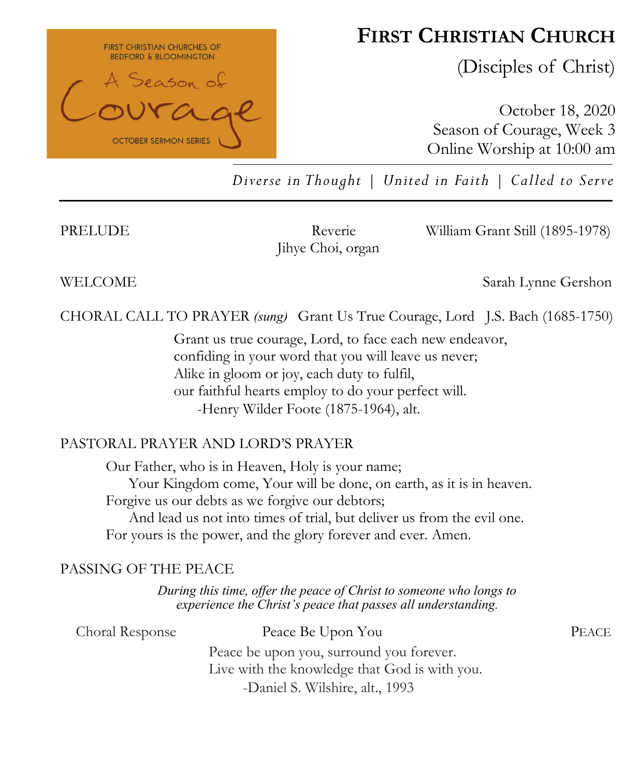

# **FIRST CHRISTIAN CHURCH**

(Disciples of Christ)

October 18, 2020 Season of Courage, Week 3 Online Worship at 10:00 am

*Diverse in Thought | United in Faith | Called to Serve*

Jihye Choi, organ

PRELUDE Reverie William Grant Still (1895-1978)

WELCOME Sarah Lynne Gershon

CHORAL CALL TO PRAYER *(sung)* Grant Us True Courage, Lord J.S. Bach (1685-1750)

Grant us true courage, Lord, to face each new endeavor, confiding in your word that you will leave us never; Alike in gloom or joy, each duty to fulfil, our faithful hearts employ to do your perfect will. -Henry Wilder Foote (1875-1964), alt.

#### PASTORAL PRAYER AND LORD'S PRAYER

Our Father, who is in Heaven, Holy is your name; Your Kingdom come, Your will be done, on earth, as it is in heaven. Forgive us our debts as we forgive our debtors; And lead us not into times of trial, but deliver us from the evil one. For yours is the power, and the glory forever and ever. Amen.

#### PASSING OF THE PEACE

*During this time, offer the peace of Christ to someone who longs to experience the Christ's peace that passes all understanding.*

| Choral Response | Peace Be Upon You                             | <b>PEACE</b> |
|-----------------|-----------------------------------------------|--------------|
|                 | Peace be upon you, surround you forever.      |              |
|                 | Live with the knowledge that God is with you. |              |
|                 | -Daniel S. Wilshire, alt., 1993               |              |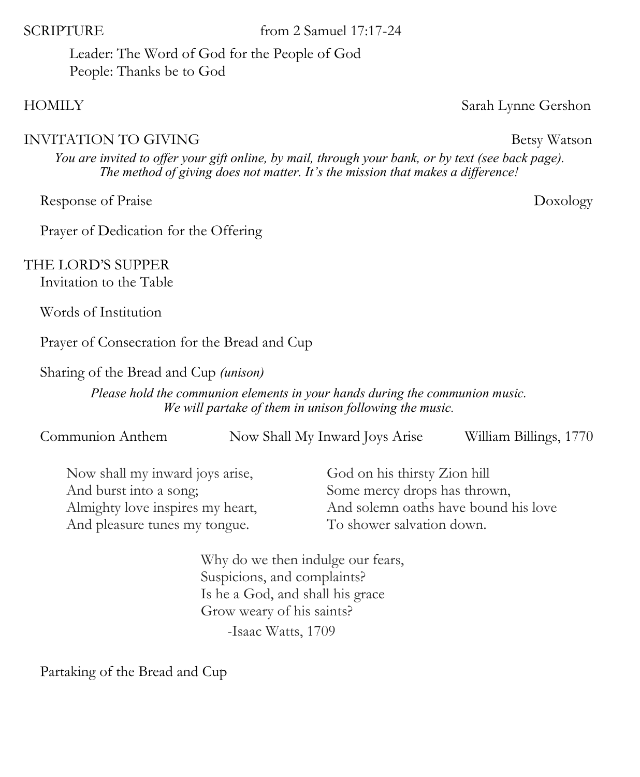SCRIPTURE from 2 Samuel 17:17-24

Leader: The Word of God for the People of God People: Thanks be to God

### HOMILY Sarah Lynne Gershon

# INVITATION TO GIVING Betsy Watson

*You are invited to offer your gift online, by mail, through your bank, or by text (see back page). The method of giving does not matter. It's the mission that makes a difference!*

Response of Praise Doxology

Prayer of Dedication for the Offering

THE LORD'S SUPPER

Invitation to the Table

Words of Institution

Prayer of Consecration for the Bread and Cup

Sharing of the Bread and Cup *(unison)* 

*Please hold the communion elements in your hands during the communion music. We will partake of them in unison following the music.*

| Communion Anthem | Now Shall My Inward Joys Arise | William Billings, 1770 |
|------------------|--------------------------------|------------------------|
|------------------|--------------------------------|------------------------|

| God on his thirsty Zion hill         |
|--------------------------------------|
| Some mercy drops has thrown,         |
| And solemn oaths have bound his love |
| To shower salvation down.            |
|                                      |

Why do we then indulge our fears, Suspicions, and complaints? Is he a God, and shall his grace Grow weary of his saints? -Isaac Watts, 1709

Partaking of the Bread and Cup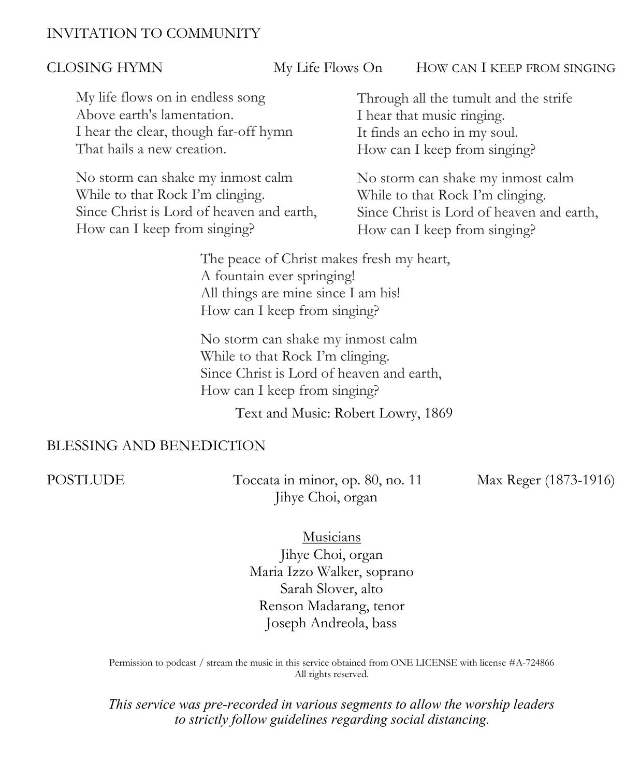### INVITATION TO COMMUNITY

CLOSING HYMN My Life Flows On HOW CAN I KEEP FROM SINGING

My life flows on in endless song Above earth's lamentation. I hear the clear, though far-off hymn That hails a new creation.

No storm can shake my inmost calm While to that Rock I'm clinging. Since Christ is Lord of heaven and earth, How can I keep from singing?

Through all the tumult and the strife I hear that music ringing. It finds an echo in my soul. How can I keep from singing?

No storm can shake my inmost calm While to that Rock I'm clinging. Since Christ is Lord of heaven and earth, How can I keep from singing?

The peace of Christ makes fresh my heart, A fountain ever springing! All things are mine since I am his! How can I keep from singing?

No storm can shake my inmost calm While to that Rock I'm clinging. Since Christ is Lord of heaven and earth, How can I keep from singing?

Text and Music: Robert Lowry, 1869

#### BLESSING AND BENEDICTION

POSTLUDE Toccata in minor, op. 80, no. 11 Max Reger (1873-1916) Jihye Choi, organ

Musicians

Jihye Choi, organ Maria Izzo Walker, soprano Sarah Slover, alto Renson Madarang, tenor Joseph Andreola, bass

Permission to podcast / stream the music in this service obtained from ONE LICENSE with license #A-724866 All rights reserved.

*This service was pre-recorded in various segments to allow the worship leaders to strictly follow guidelines regarding social distancing.*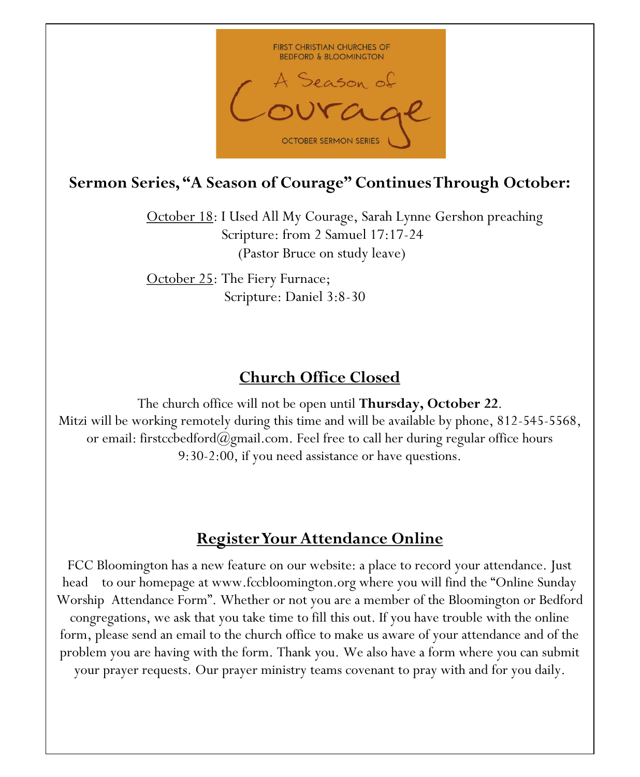

## **Sermon Series, "A Season of Courage" Continues Through October:**

October 18: I Used All My Courage, Sarah Lynne Gershon preaching Scripture: from 2 Samuel 17:17-24 (Pastor Bruce on study leave)

October 25: The Fiery Furnace; Scripture: Daniel 3:8-30

# **Church Office Closed**

The church office will not be open until **Thursday, October 22**. Mitzi will be working remotely during this time and will be available by phone, 812-545-5568, or email: firstccbedford $(a)$ gmail.com. Feel free to call her during regular office hours 9:30-2:00, if you need assistance or have questions.

## **Register Your Attendance Online**

FCC Bloomington has a new feature on our website: a place to record your attendance. Just head to our homepage at www.fccbloomington.org where you will find the "Online Sunday Worship Attendance Form". Whether or not you are a member of the Bloomington or Bedford congregations, we ask that you take time to fill this out. If you have trouble with the online form, please send an email to the church office to make us aware of your attendance and of the problem you are having with the form. Thank you. We also have a form where you can submit your prayer requests. Our prayer ministry teams covenant to pray with and for you daily.